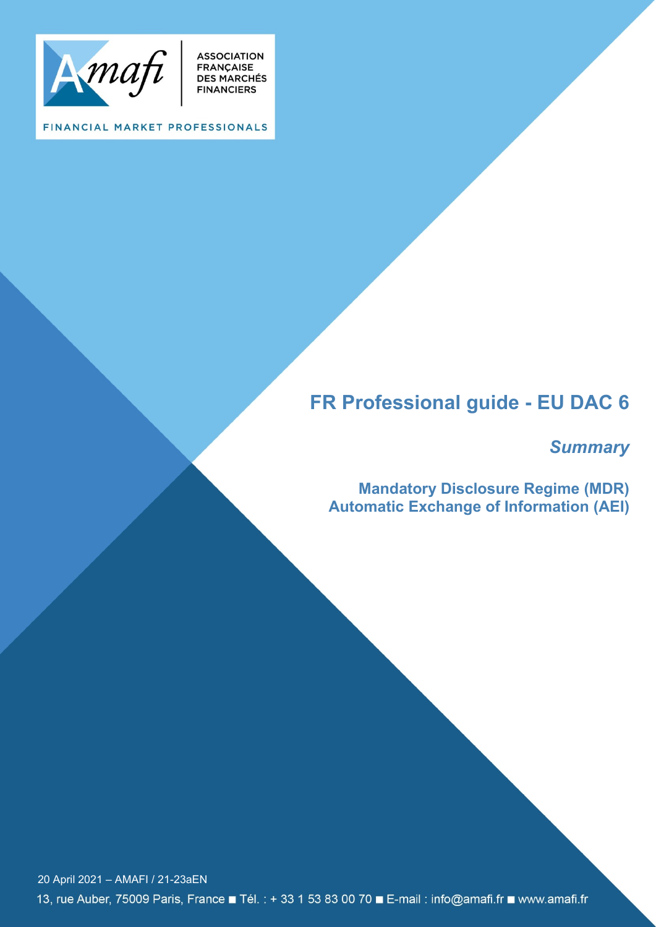

**ASSOCIATION<br>FRANÇAISE<br>DES MARCHÉS<br>FINANCIERS** 

FINANCIAL MARKET PROFESSIONALS

# **FR Professional guide - EU DAC 6**

# *Summary*

**Mandatory Disclosure Regime (MDR) Automatic Exchange of Information (AEI)**

20 April 2021 – AMAFI / 21-23aEN13, rue Auber, 75009 Paris, France ■ Tél. : + 33 1 53 83 00 70 ■ E-mail : info@amafi.fr ■ www.amafi.fr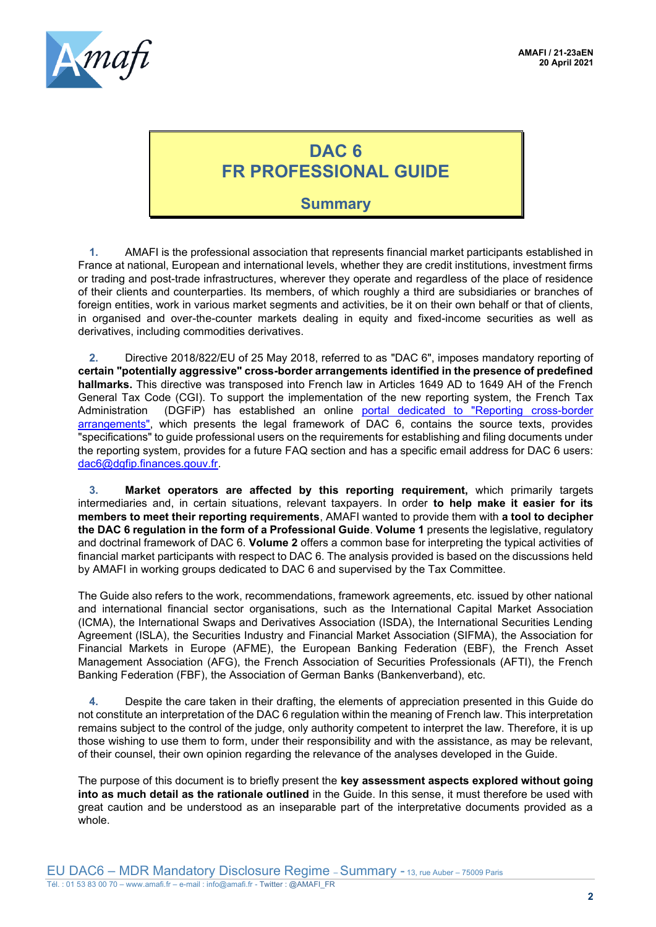

# **DAC 6 FR PROFESSIONAL GUIDE**

## **Summary**

**1.** AMAFI is the professional association that represents financial market participants established in France at national, European and international levels, whether they are credit institutions, investment firms or trading and post-trade infrastructures, wherever they operate and regardless of the place of residence of their clients and counterparties. Its members, of which roughly a third are subsidiaries or branches of foreign entities, work in various market segments and activities, be it on their own behalf or that of clients, in organised and over-the-counter markets dealing in equity and fixed-income securities as well as derivatives, including commodities derivatives.

**2.** Directive 2018/822/EU of 25 May 2018, referred to as "DAC 6", imposes mandatory reporting of **certain "potentially aggressive" cross-border arrangements identified in the presence of predefined hallmarks.** This directive was transposed into French law in Articles 1649 AD to 1649 AH of the French General Tax Code (CGI). To support the implementation of the new reporting system, the French Tax Administration (DGFiP) has established an online [portal dedicated to "Reporting cross-border](https://www.impots.gouv.fr/portail/declaration-des-dispositifs-transfrontieres)  [arrangements",](https://www.impots.gouv.fr/portail/declaration-des-dispositifs-transfrontieres) which presents the legal framework of DAC 6, contains the source texts, provides "specifications" to guide professional users on the requirements for establishing and filing documents under the reporting system, provides for a future FAQ section and has a specific email address for DAC 6 users: [dac6@dgfip.finances.gouv.fr.](mailto:dac6@dgfip.finances.gouv.fr)

**3. Market operators are affected by this reporting requirement,** which primarily targets intermediaries and, in certain situations, relevant taxpayers. In order **to help make it easier for its members to meet their reporting requirements**, AMAFI wanted to provide them with **a tool to decipher the DAC 6 regulation in the form of a Professional Guide**. **Volume 1** presents the legislative, regulatory and doctrinal framework of DAC 6. **Volume 2** offers a common base for interpreting the typical activities of financial market participants with respect to DAC 6. The analysis provided is based on the discussions held by AMAFI in working groups dedicated to DAC 6 and supervised by the Tax Committee.

The Guide also refers to the work, recommendations, framework agreements, etc. issued by other national and international financial sector organisations, such as the International Capital Market Association (ICMA), the International Swaps and Derivatives Association (ISDA), the International Securities Lending Agreement (ISLA), the Securities Industry and Financial Market Association (SIFMA), the Association for Financial Markets in Europe (AFME), the European Banking Federation (EBF), the French Asset Management Association (AFG), the French Association of Securities Professionals (AFTI), the French Banking Federation (FBF), the Association of German Banks (Bankenverband), etc.

**4.** Despite the care taken in their drafting, the elements of appreciation presented in this Guide do not constitute an interpretation of the DAC 6 regulation within the meaning of French law. This interpretation remains subject to the control of the judge, only authority competent to interpret the law. Therefore, it is up those wishing to use them to form, under their responsibility and with the assistance, as may be relevant, of their counsel, their own opinion regarding the relevance of the analyses developed in the Guide.

The purpose of this document is to briefly present the **key assessment aspects explored without going into as much detail as the rationale outlined** in the Guide. In this sense, it must therefore be used with great caution and be understood as an inseparable part of the interpretative documents provided as a whole.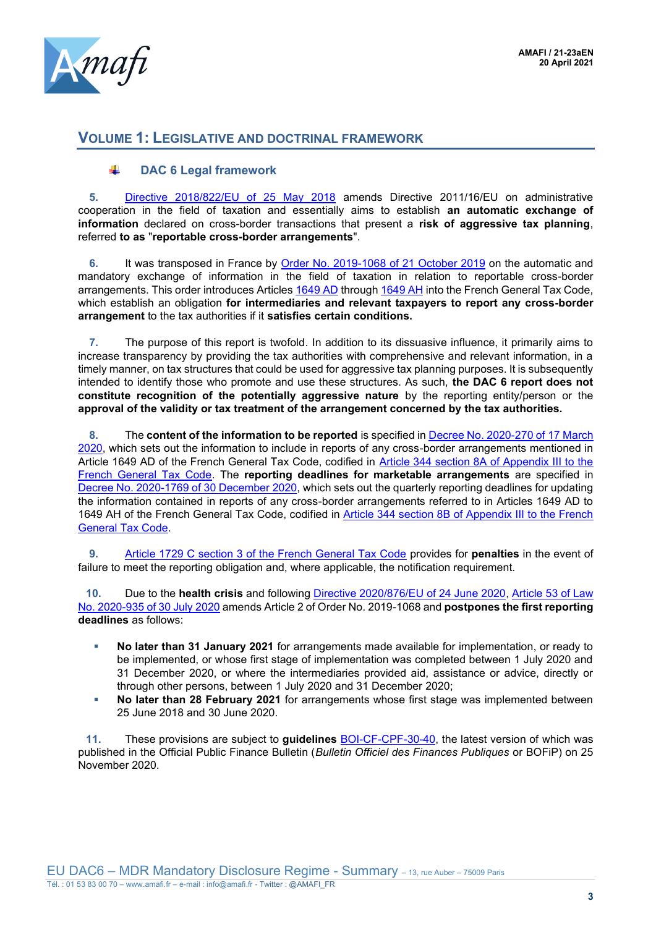

## **VOLUME 1: LEGISLATIVE AND DOCTRINAL FRAMEWORK**

#### ÷. **DAC 6 Legal framework**

**5.** [Directive 2018/822/EU of 25 May 2018](https://eur-lex.europa.eu/legal-content/FR/TXT/?uri=CELEX:32018L0822) amends Directive 2011/16/EU on administrative cooperation in the field of taxation and essentially aims to establish **an automatic exchange of information** declared on cross-border transactions that present a **risk of aggressive tax planning**, referred **to as** "**reportable cross-border arrangements**".

**6.** It was transposed in France by [Order No. 2019-1068 of 21 October 2019](https://www.legifrance.gouv.fr/jorf/id/JORFTEXT000039248686/) on the automatic and mandatory exchange of information in the field of taxation in relation to reportable cross-border arrangements. This order introduces Articles [1649 AD](https://www.legifrance.gouv.fr/codes/article_lc/LEGIARTI000039249804/2020-07-01) throug[h 1649 AH](https://www.legifrance.gouv.fr/codes/article_lc/LEGIARTI000039249812/2020-07-01) into the French General Tax Code, which establish an obligation **for intermediaries and relevant taxpayers to report any cross-border arrangement** to the tax authorities if it **satisfies certain conditions.**

**7.** The purpose of this report is twofold. In addition to its dissuasive influence, it primarily aims to increase transparency by providing the tax authorities with comprehensive and relevant information, in a timely manner, on tax structures that could be used for aggressive tax planning purposes. It is subsequently intended to identify those who promote and use these structures. As such, **the DAC 6 report does not constitute recognition of the potentially aggressive nature** by the reporting entity/person or the **approval of the validity or tax treatment of the arrangement concerned by the tax authorities.** 

**8.** The **content of the information to be reported** is specified in [Decree No. 2020-270 of 17 March](https://www.legifrance.gouv.fr/codes/id/LEGIARTI000039249804/2020-07-01/)  [2020,](https://www.legifrance.gouv.fr/codes/id/LEGIARTI000039249804/2020-07-01/) which sets out the information to include in reports of any cross-border arrangements mentioned in Article 1649 AD of the French General Tax Code, codified in [Article 344 section 8A of Appendix III to the](https://www.legifrance.gouv.fr/codes/article_lc/LEGIARTI000041734990/)  [French General Tax Code.](https://www.legifrance.gouv.fr/codes/article_lc/LEGIARTI000041734990/) The **reporting deadlines for marketable arrangements** are specified in [Decree No. 2020-1769 of 30 December 2020,](https://www.legifrance.gouv.fr/jorf/id/JORFTEXT000042838398#:~:text=Copier%20le%20texte-,D%C3%A9cret%20n%C2%B0%202020%2D1769%20du%2030%20d%C3%A9cembre%202020%20fixant,du%20code%20g%C3%A9n%C3%A9ral%20des%20imp%C3%B4ts&text=Le%20pr%C3%A9sent%20d%C3%A9cret%20fixe%20ces%20%C3%A9ch%C3%A9ances%20d%C3%A9claratives%20trimestrielles.) which sets out the quarterly reporting deadlines for updating the information contained in reports of any cross-border arrangements referred to in Articles 1649 AD to 1649 AH of the French General Tax Code, codified in [Article 344 section 8B of Appendix III to the French](https://www.legifrance.gouv.fr/codes/article_lc/LEGIARTI000042903807)  [General Tax Code.](https://www.legifrance.gouv.fr/codes/article_lc/LEGIARTI000042903807)

**9.** [Article 1729 C section 3 of the French General Tax Code](https://www.legifrance.gouv.fr/codes/article_lc/LEGIARTI000039250301) provides for **penalties** in the event of failure to meet the reporting obligation and, where applicable, the notification requirement.

**10.** Due to the **health crisis** and following [Directive 2020/876/EU of 24 June 2020,](file://///Amafi-Srv01/Backup/1_Documents/1-EV/DAC%20-%20Directive%20Coopération%20Adminstrative%20EAI/Guide%20DAC%206%20AMAFI%20-%20Projet/directive%20(UE)%202020/876%20du%20Conseil%20du%2024%20juin%202020) [Article 53 of Law](https://www.legifrance.gouv.fr/jorf/article_jo/JORFARTI000042176621)  [No. 2020-935 of 30 July 2020](https://www.legifrance.gouv.fr/jorf/article_jo/JORFARTI000042176621) amends Article 2 of Order No. 2019-1068 and **postpones the first reporting deadlines** as follows:

- **No later than 31 January 2021** for arrangements made available for implementation, or ready to be implemented, or whose first stage of implementation was completed between 1 July 2020 and 31 December 2020, or where the intermediaries provided aid, assistance or advice, directly or through other persons, between 1 July 2020 and 31 December 2020;
- **No later than 28 February 2021** for arrangements whose first stage was implemented between 25 June 2018 and 30 June 2020.

**11.** These provisions are subject to **guidelines** [BOI-CF-CPF-30-40,](https://bofip.impots.gouv.fr/bofip/12614-PGP.html/ACTU-2020-00291) the latest version of which was published in the Official Public Finance Bulletin (*Bulletin Officiel des Finances Publiques* or BOFiP) on 25 November 2020.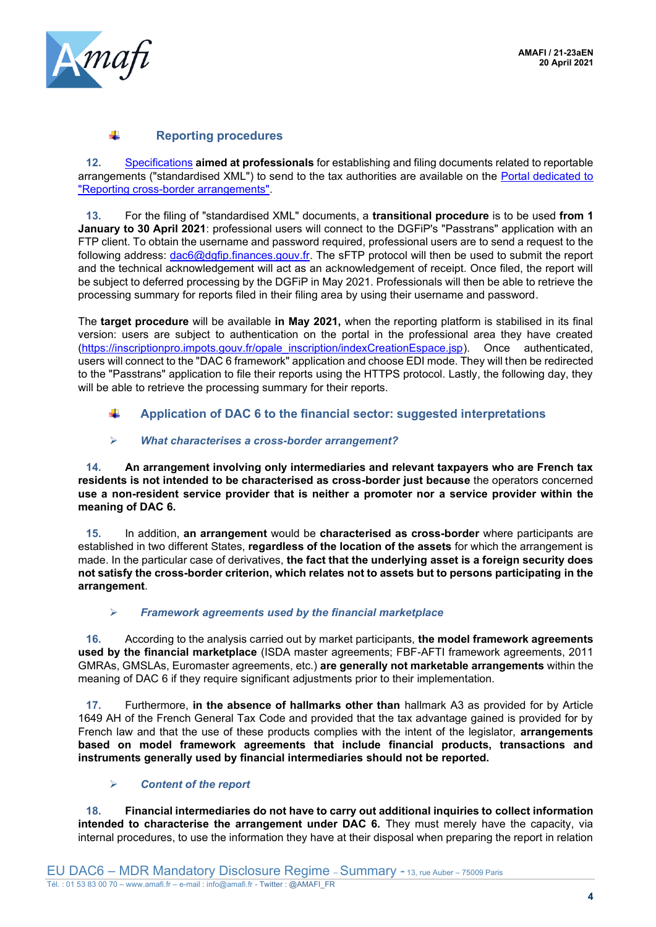

### **Reporting procedures**

**12.** [Specifications](https://www.impots.gouv.fr/portail/files/media/1_metier/5_international/cahier_des_charges_dac6_v1.4.pdf) **aimed at professionals** for establishing and filing documents related to reportable arrangements ("standardised XML") to send to the tax authorities are available on the [Portal dedicated to](https://www.impots.gouv.fr/portail/declaration-des-dispositifs-transfrontieres)  ["Reporting cross-border arrangements".](https://www.impots.gouv.fr/portail/declaration-des-dispositifs-transfrontieres)

**13.** For the filing of "standardised XML" documents, a **transitional procedure** is to be used **from 1 January to 30 April 2021**: professional users will connect to the DGFiP's "Passtrans" application with an FTP client. To obtain the username and password required, professional users are to send a request to the following address: [dac6@dgfip.finances.gouv.fr.](mailto:dac6@dgfip.finances.gouv.fr) The sFTP protocol will then be used to submit the report and the technical acknowledgement will act as an acknowledgement of receipt. Once filed, the report will be subject to deferred processing by the DGFiP in May 2021. Professionals will then be able to retrieve the processing summary for reports filed in their filing area by using their username and password.

The **target procedure** will be available **in May 2021,** when the reporting platform is stabilised in its final version: users are subject to authentication on the portal in the professional area they have created [\(https://inscriptionpro.impots.gouv.fr/opale\\_inscription/indexCreationEspace.jsp\)](https://inscriptionpro.impots.gouv.fr/opale_inscription/indexCreationEspace.jsp). Once authenticated, users will connect to the "DAC 6 framework" application and choose EDI mode. They will then be redirected to the "Passtrans" application to file their reports using the HTTPS protocol. Lastly, the following day, they will be able to retrieve the processing summary for their reports.

#### ÷ **Application of DAC 6 to the financial sector: suggested interpretations**

### ➢ *What characterises a cross-border arrangement?*

**14. An arrangement involving only intermediaries and relevant taxpayers who are French tax residents is not intended to be characterised as cross-border just because** the operators concerned **use a non-resident service provider that is neither a promoter nor a service provider within the meaning of DAC 6.**

**15.** In addition, **an arrangement** would be **characterised as cross-border** where participants are established in two different States, **regardless of the location of the assets** for which the arrangement is made. In the particular case of derivatives, **the fact that the underlying asset is a foreign security does not satisfy the cross-border criterion, which relates not to assets but to persons participating in the arrangement**.

### ➢ *Framework agreements used by the financial marketplace*

**16.** According to the analysis carried out by market participants, **the model framework agreements used by the financial marketplace** (ISDA master agreements; FBF-AFTI framework agreements, 2011 GMRAs, GMSLAs, Euromaster agreements, etc.) **are generally not marketable arrangements** within the meaning of DAC 6 if they require significant adjustments prior to their implementation.

**17.** Furthermore, **in the absence of hallmarks other than** hallmark A3 as provided for by Article 1649 AH of the French General Tax Code and provided that the tax advantage gained is provided for by French law and that the use of these products complies with the intent of the legislator, **arrangements based on model framework agreements that include financial products, transactions and instruments generally used by financial intermediaries should not be reported.**

#### ➢ *Content of the report*

**18. Financial intermediaries do not have to carry out additional inquiries to collect information intended to characterise the arrangement under DAC 6.** They must merely have the capacity, via internal procedures, to use the information they have at their disposal when preparing the report in relation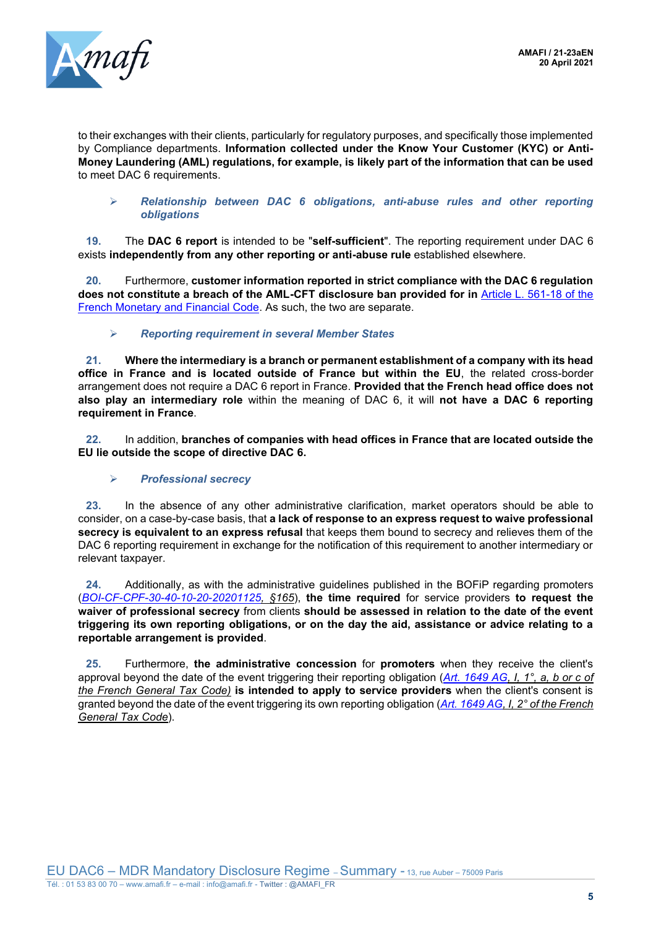

to their exchanges with their clients, particularly for regulatory purposes, and specifically those implemented by Compliance departments. **Information collected under the Know Your Customer (KYC) or Anti-Money Laundering (AML) regulations, for example, is likely part of the information that can be used** to meet DAC 6 requirements.

#### ➢ *Relationship between DAC 6 obligations, anti-abuse rules and other reporting obligations*

**19.** The **DAC 6 report** is intended to be "**self-sufficient**". The reporting requirement under DAC 6 exists **independently from any other reporting or anti-abuse rule** established elsewhere.

**20.** Furthermore, **customer information reported in strict compliance with the DAC 6 regulation does not constitute a breach of the AML-CFT disclosure ban provided for in** [Article L. 561-18 of the](https://www.legifrance.gouv.fr/codes/article_lc/LEGIARTI000037825428/)  [French Monetary and Financial Code.](https://www.legifrance.gouv.fr/codes/article_lc/LEGIARTI000037825428/) As such, the two are separate.

### ➢ *Reporting requirement in several Member States*

**21. Where the intermediary is a branch or permanent establishment of a company with its head office in France and is located outside of France but within the EU**, the related cross-border arrangement does not require a DAC 6 report in France. **Provided that the French head office does not also play an intermediary role** within the meaning of DAC 6, it will **not have a DAC 6 reporting requirement in France**.

**22.** In addition, **branches of companies with head offices in France that are located outside the EU lie outside the scope of directive DAC 6.**

#### ➢ *Professional secrecy*

**23.** In the absence of any other administrative clarification, market operators should be able to consider, on a case-by-case basis, that **a lack of response to an express request to waive professional secrecy is equivalent to an express refusal** that keeps them bound to secrecy and relieves them of the DAC 6 reporting requirement in exchange for the notification of this requirement to another intermediary or relevant taxpayer.

**24.** Additionally, as with the administrative guidelines published in the BOFiP regarding promoters (*[BOI-CF-CPF-30-40-10-20-20201125,](https://bofip.impots.gouv.fr/bofip/12275-PGP.html/identifiant=BOI-CF-CPF-30-40-10-20-20201125) §165*), **the time required** for service providers **to request the waiver of professional secrecy** from clients **should be assessed in relation to the date of the event triggering its own reporting obligations, or on the day the aid, assistance or advice relating to a reportable arrangement is provided**.

**25.** Furthermore, **the administrative concession** for **promoters** when they receive the client's approval beyond the date of the event triggering their reporting obligation (*[Art. 1649 AG,](https://www.legifrance.gouv.fr/codes/article_lc/LEGIARTI000042194986/) I, 1°, a, b or c of the French General Tax Code)* **is intended to apply to service providers** when the client's consent is granted beyond the date of the event triggering its own reporting obligation (*[Art. 1649 AG,](https://www.legifrance.gouv.fr/codes/article_lc/LEGIARTI000042194986/) I, 2° of the French General Tax Code*).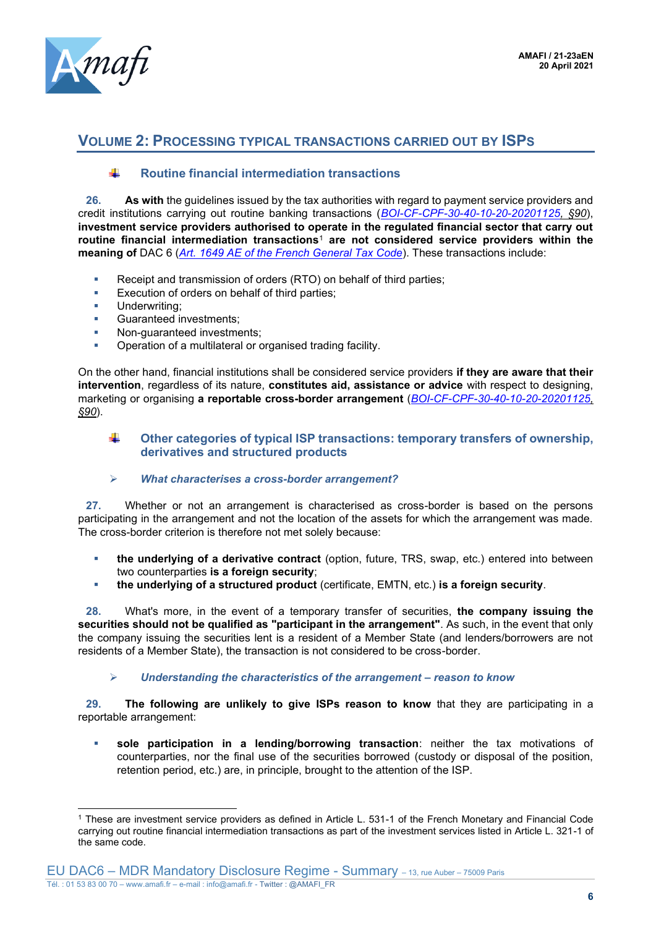

## **VOLUME 2: PROCESSING TYPICAL TRANSACTIONS CARRIED OUT BY ISPS**

#### 4. **Routine financial intermediation transactions**

**26. As with** the guidelines issued by the tax authorities with regard to payment service providers and credit institutions carrying out routine banking transactions (*[BOI-CF-CPF-30-40-10-20-20201125,](https://www.legifrance.gouv.fr/codes/article_lc/LEGIARTI000042194986/) §90*), **investment service providers authorised to operate in the regulated financial sector that carry out routine financial intermediation transactions**<sup>1</sup> **are not considered service providers within the meaning of** DAC 6 (*[Art. 1649 AE of the French General Tax Code](https://www.legifrance.gouv.fr/codes/article_lc/LEGIARTI000039249806/2020-07-01)*). These transactions include:

- Receipt and transmission of orders (RTO) on behalf of third parties;
- **Execution of orders on behalf of third parties;**
- Underwriting:
- Guaranteed investments:
- Non-quaranteed investments:
- Operation of a multilateral or organised trading facility.

On the other hand, financial institutions shall be considered service providers **if they are aware that their intervention**, regardless of its nature, **constitutes aid, assistance or advice** with respect to designing, marketing or organising **a reportable cross-border arrangement** (*[BOI-CF-CPF-30-40-10-20-20201125,](https://www.legifrance.gouv.fr/codes/article_lc/LEGIARTI000042194986/) §90*).

#### ÷ **Other categories of typical ISP transactions: temporary transfers of ownership, derivatives and structured products**

➢ *What characterises a cross-border arrangement?* 

**27.** Whether or not an arrangement is characterised as cross-border is based on the persons participating in the arrangement and not the location of the assets for which the arrangement was made. The cross-border criterion is therefore not met solely because:

- **the underlying of a derivative contract** (option, future, TRS, swap, etc.) entered into between two counterparties **is a foreign security**;
- **the underlying of a structured product** (certificate, EMTN, etc.) **is a foreign security**.

**28.** What's more, in the event of a temporary transfer of securities, **the company issuing the securities should not be qualified as "participant in the arrangement"**. As such, in the event that only the company issuing the securities lent is a resident of a Member State (and lenders/borrowers are not residents of a Member State), the transaction is not considered to be cross-border.

#### ➢ *Understanding the characteristics of the arrangement – reason to know*

**29. The following are unlikely to give ISPs reason to know** that they are participating in a reportable arrangement:

▪ **sole participation in a lending/borrowing transaction**: neither the tax motivations of counterparties, nor the final use of the securities borrowed (custody or disposal of the position, retention period, etc.) are, in principle, brought to the attention of the ISP.

<sup>1</sup> These are investment service providers as defined in Article L. 531-1 of the French Monetary and Financial Code carrying out routine financial intermediation transactions as part of the investment services listed in Article L. 321-1 of the same code.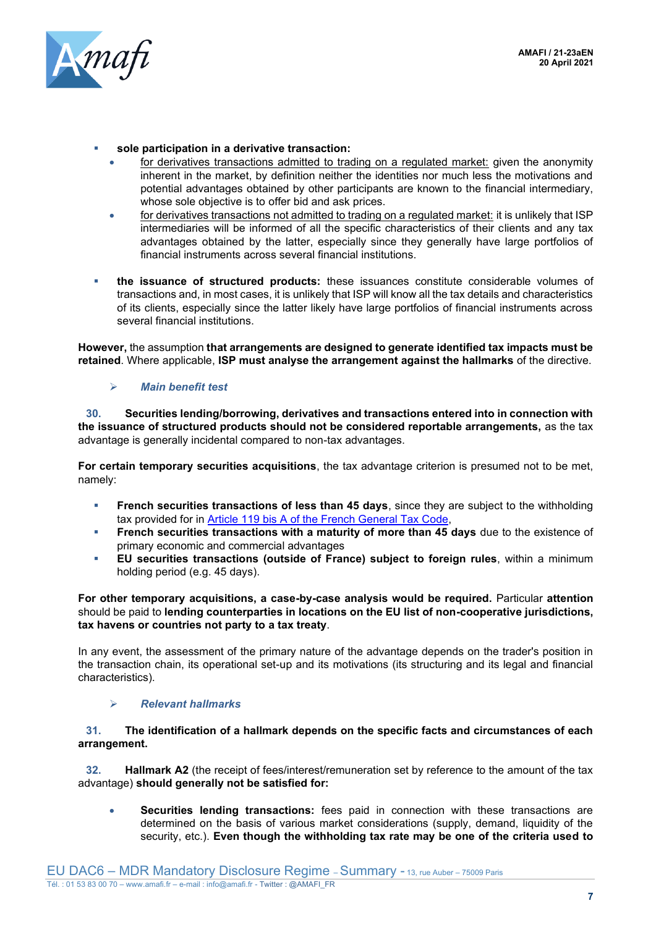

- sole participation in a derivative transaction:
	- for derivatives transactions admitted to trading on a regulated market: given the anonymity inherent in the market, by definition neither the identities nor much less the motivations and potential advantages obtained by other participants are known to the financial intermediary, whose sole objective is to offer bid and ask prices.
	- for derivatives transactions not admitted to trading on a regulated market: it is unlikely that ISP intermediaries will be informed of all the specific characteristics of their clients and any tax advantages obtained by the latter, especially since they generally have large portfolios of financial instruments across several financial institutions.
- **the issuance of structured products:** these issuances constitute considerable volumes of transactions and, in most cases, it is unlikely that ISP will know all the tax details and characteristics of its clients, especially since the latter likely have large portfolios of financial instruments across several financial institutions.

**However,** the assumption **that arrangements are designed to generate identified tax impacts must be retained**. Where applicable, **ISP must analyse the arrangement against the hallmarks** of the directive.

#### ➢ *Main benefit test*

**30. Securities lending/borrowing, derivatives and transactions entered into in connection with the issuance of structured products should not be considered reportable arrangements,** as the tax advantage is generally incidental compared to non-tax advantages.

**For certain temporary securities acquisitions**, the tax advantage criterion is presumed not to be met, namely:

- **French securities transactions of less than 45 days**, since they are subject to the withholding tax provided for in [Article 119 bis A of the French General Tax Code,](https://www.legifrance.gouv.fr/codes/article_lc/LEGIARTI000037941921/#:~:text=La%20retenue%20%C3%A0%20la%20source%20est%20due%20lors%20de%20la,personne%20qui%20assure%20ce%20paiement.&text=Le%20b%C3%A9n%C3%A9ficiaire%20peut%20alors%20obtenir,domicile%20ou%20de%20son%20si%C3%A8ge.)
- **Example 1** French securities transactions with a maturity of more than 45 days due to the existence of primary economic and commercial advantages
- **EU securities transactions (outside of France) subject to foreign rules**, within a minimum holding period (e.g. 45 days).

#### **For other temporary acquisitions, a case-by-case analysis would be required.** Particular **attention** should be paid to **lending counterparties in locations on the EU list of non-cooperative jurisdictions, tax havens or countries not party to a tax treaty**.

In any event, the assessment of the primary nature of the advantage depends on the trader's position in the transaction chain, its operational set-up and its motivations (its structuring and its legal and financial characteristics).

#### ➢ *Relevant hallmarks*

#### **31. The identification of a hallmark depends on the specific facts and circumstances of each arrangement.**

**32. Hallmark A2** (the receipt of fees/interest/remuneration set by reference to the amount of the tax advantage) **should generally not be satisfied for:**

• **Securities lending transactions:** fees paid in connection with these transactions are determined on the basis of various market considerations (supply, demand, liquidity of the security, etc.). **Even though the withholding tax rate may be one of the criteria used to**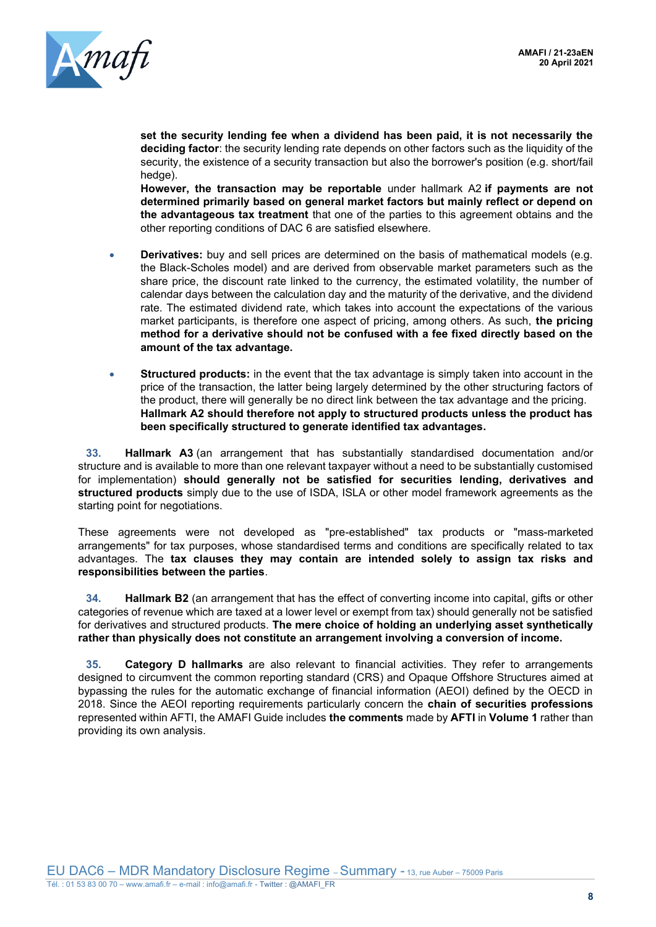

**set the security lending fee when a dividend has been paid, it is not necessarily the deciding factor**: the security lending rate depends on other factors such as the liquidity of the security, the existence of a security transaction but also the borrower's position (e.g. short/fail hedge).

**However, the transaction may be reportable** under hallmark A2 **if payments are not determined primarily based on general market factors but mainly reflect or depend on the advantageous tax treatment** that one of the parties to this agreement obtains and the other reporting conditions of DAC 6 are satisfied elsewhere.

- **Derivatives:** buy and sell prices are determined on the basis of mathematical models (e.g. the Black-Scholes model) and are derived from observable market parameters such as the share price, the discount rate linked to the currency, the estimated volatility, the number of calendar days between the calculation day and the maturity of the derivative, and the dividend rate. The estimated dividend rate, which takes into account the expectations of the various market participants, is therefore one aspect of pricing, among others. As such, **the pricing method for a derivative should not be confused with a fee fixed directly based on the amount of the tax advantage.**
- **Structured products:** in the event that the tax advantage is simply taken into account in the price of the transaction, the latter being largely determined by the other structuring factors of the product, there will generally be no direct link between the tax advantage and the pricing. **Hallmark A2 should therefore not apply to structured products unless the product has been specifically structured to generate identified tax advantages.**

**33. Hallmark A3** (an arrangement that has substantially standardised documentation and/or structure and is available to more than one relevant taxpayer without a need to be substantially customised for implementation) **should generally not be satisfied for securities lending, derivatives and structured products** simply due to the use of ISDA, ISLA or other model framework agreements as the starting point for negotiations.

These agreements were not developed as "pre-established" tax products or "mass-marketed arrangements" for tax purposes, whose standardised terms and conditions are specifically related to tax advantages. The **tax clauses they may contain are intended solely to assign tax risks and responsibilities between the parties**.

**34. Hallmark B2** (an arrangement that has the effect of converting income into capital, gifts or other categories of revenue which are taxed at a lower level or exempt from tax) should generally not be satisfied for derivatives and structured products. **The mere choice of holding an underlying asset synthetically rather than physically does not constitute an arrangement involving a conversion of income.** 

**35. Category D hallmarks** are also relevant to financial activities. They refer to arrangements designed to circumvent the common reporting standard (CRS) and Opaque Offshore Structures aimed at bypassing the rules for the automatic exchange of financial information (AEOI) defined by the OECD in 2018. Since the AEOI reporting requirements particularly concern the **chain of securities professions** represented within AFTI, the AMAFI Guide includes **the comments** made by **AFTI** in **Volume 1** rather than providing its own analysis.